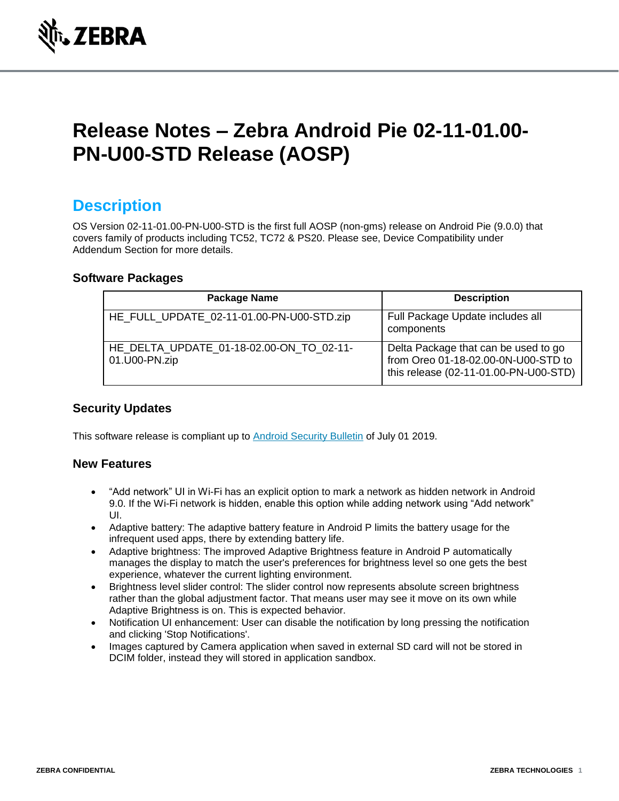

# **Release Notes – Zebra Android Pie 02-11-01.00- PN-U00-STD Release (AOSP)**

### **Description**

OS Version 02-11-01.00-PN-U00-STD is the first full AOSP (non-gms) release on Android Pie (9.0.0) that covers family of products including TC52, TC72 & PS20. Please see, Device Compatibility under Addendum Section for more details.

#### **Software Packages**

| <b>Package Name</b>                                       | <b>Description</b>                                                                                                   |
|-----------------------------------------------------------|----------------------------------------------------------------------------------------------------------------------|
| HE_FULL_UPDATE_02-11-01.00-PN-U00-STD.zip                 | Full Package Update includes all<br>components                                                                       |
| HE DELTA UPDATE 01-18-02.00-ON TO 02-11-<br>01.U00-PN.zip | Delta Package that can be used to go<br>from Oreo 01-18-02.00-0N-U00-STD to<br>this release (02-11-01.00-PN-U00-STD) |

#### **Security Updates**

This software release is compliant up to [Android Security Bulletin](https://source.android.com/security/bulletin/) of July 01 2019.

#### **New Features**

- "Add network" UI in Wi-Fi has an explicit option to mark a network as hidden network in Android 9.0. If the Wi-Fi network is hidden, enable this option while adding network using "Add network" UI.
- Adaptive battery: The adaptive battery feature in Android P limits the battery usage for the infrequent used apps, there by extending battery life.
- Adaptive brightness: The improved Adaptive Brightness feature in Android P automatically manages the display to match the user's preferences for brightness level so one gets the best experience, whatever the current lighting environment.
- Brightness level slider control: The slider control now represents absolute screen brightness rather than the global adjustment factor. That means user may see it move on its own while Adaptive Brightness is on. This is expected behavior.
- Notification UI enhancement: User can disable the notification by long pressing the notification and clicking 'Stop Notifications'.
- Images captured by Camera application when saved in external SD card will not be stored in DCIM folder, instead they will stored in application sandbox.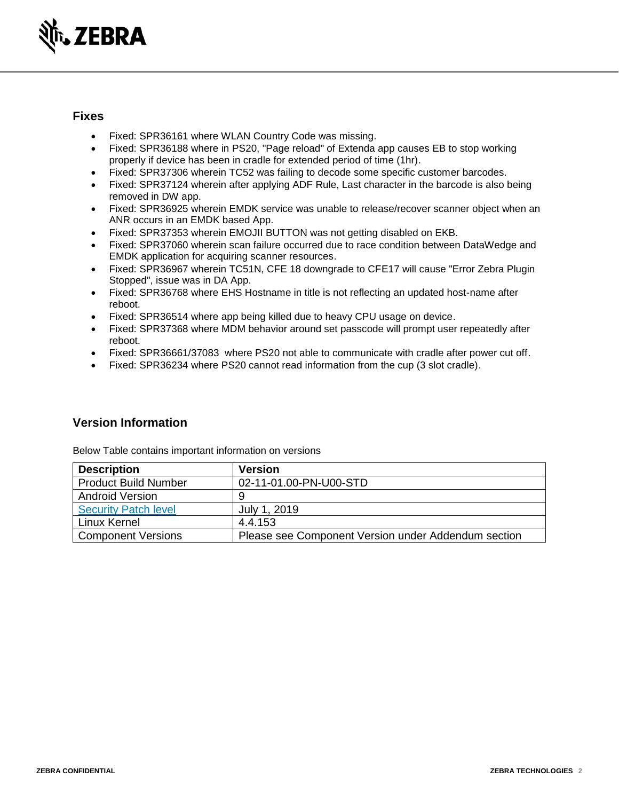

#### **Fixes**

- Fixed: SPR36161 where WLAN Country Code was missing.
- Fixed: SPR36188 where in PS20, "Page reload" of Extenda app causes EB to stop working properly if device has been in cradle for extended period of time (1hr).
- Fixed: SPR37306 wherein TC52 was failing to decode some specific customer barcodes.
- Fixed: SPR37124 wherein after applying ADF Rule, Last character in the barcode is also being removed in DW app.
- Fixed: SPR36925 wherein EMDK service was unable to release/recover scanner object when an ANR occurs in an EMDK based App.
- Fixed: SPR37353 wherein EMOJII BUTTON was not getting disabled on EKB.
- Fixed: SPR37060 wherein scan failure occurred due to race condition between DataWedge and EMDK application for acquiring scanner resources.
- Fixed: SPR36967 wherein TC51N, CFE 18 downgrade to CFE17 will cause "Error Zebra Plugin Stopped", issue was in DA App.
- Fixed: SPR36768 where EHS Hostname in title is not reflecting an updated host-name after reboot.
- Fixed: SPR36514 where app being killed due to heavy CPU usage on device.
- Fixed: SPR37368 where MDM behavior around set passcode will prompt user repeatedly after reboot.
- Fixed: SPR36661/37083 where PS20 not able to communicate with cradle after power cut off.
- Fixed: SPR36234 where PS20 cannot read information from the cup (3 slot cradle).

#### **Version Information**

Below Table contains important information on versions

| <b>Description</b>          | <b>Version</b>                                      |
|-----------------------------|-----------------------------------------------------|
| <b>Product Build Number</b> | 02-11-01.00-PN-U00-STD                              |
| <b>Android Version</b>      | 9                                                   |
| <b>Security Patch level</b> | July 1, 2019                                        |
| Linux Kernel                | 4.4.153                                             |
| <b>Component Versions</b>   | Please see Component Version under Addendum section |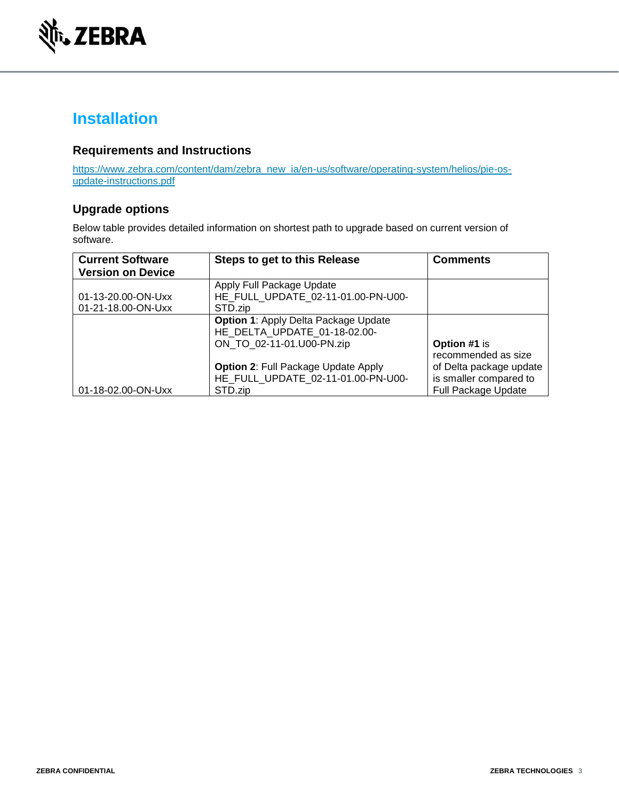

## **Installation**

#### **Requirements and Instructions**

[https://www.zebra.com/content/dam/zebra\\_new\\_ia/en-us/software/operating-system/helios/pie-os](https://www.zebra.com/content/dam/zebra_new_ia/en-us/software/operating-system/helios/pie-os-update-instructions.pdf)[update-instructions.pdf](https://www.zebra.com/content/dam/zebra_new_ia/en-us/software/operating-system/helios/pie-os-update-instructions.pdf)

#### **Upgrade options**

Below table provides detailed information on shortest path to upgrade based on current version of software.

| <b>Current Software</b><br><b>Version on Device</b> | Steps to get to this Release                                                                             | <b>Comments</b>                                                                 |
|-----------------------------------------------------|----------------------------------------------------------------------------------------------------------|---------------------------------------------------------------------------------|
| 01-13-20.00-ON-Uxx                                  | Apply Full Package Update<br>HE FULL UPDATE 02-11-01.00-PN-U00-                                          |                                                                                 |
| 01-21-18.00-ON-Uxx                                  | STD.zip                                                                                                  |                                                                                 |
|                                                     | <b>Option 1: Apply Delta Package Update</b><br>HE DELTA UPDATE 01-18-02.00-<br>ON TO 02-11-01.U00-PN.zip | Option #1 is<br>recommended as size                                             |
| 01-18-02.00-ON-Uxx                                  | <b>Option 2: Full Package Update Apply</b><br>HE FULL UPDATE 02-11-01.00-PN-U00-<br>STD.zip              | of Delta package update<br>is smaller compared to<br><b>Full Package Update</b> |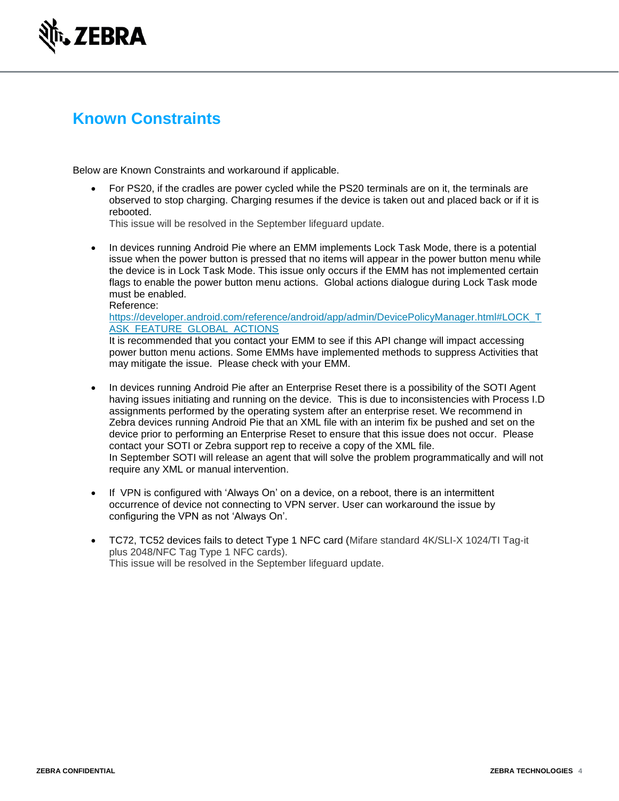

## **Known Constraints**

Below are Known Constraints and workaround if applicable.

• For PS20, if the cradles are power cycled while the PS20 terminals are on it, the terminals are observed to stop charging. Charging resumes if the device is taken out and placed back or if it is rebooted.

This issue will be resolved in the September lifeguard update.

• In devices running Android Pie where an EMM implements Lock Task Mode, there is a potential issue when the power button is pressed that no items will appear in the power button menu while the device is in Lock Task Mode. This issue only occurs if the EMM has not implemented certain flags to enable the power button menu actions. Global actions dialogue during Lock Task mode must be enabled. Reference:

#### [https://developer.android.com/reference/android/app/admin/DevicePolicyManager.html#LOCK\\_T](https://developer.android.com/reference/android/app/admin/DevicePolicyManager.html#LOCK_TASK_FEATURE_GLOBAL_ACTIONS) [ASK\\_FEATURE\\_GLOBAL\\_ACTIONS](https://developer.android.com/reference/android/app/admin/DevicePolicyManager.html#LOCK_TASK_FEATURE_GLOBAL_ACTIONS)

It is recommended that you contact your EMM to see if this API change will impact accessing power button menu actions. Some EMMs have implemented methods to suppress Activities that may mitigate the issue. Please check with your EMM.

- In devices running Android Pie after an Enterprise Reset there is a possibility of the SOTI Agent having issues initiating and running on the device. This is due to inconsistencies with Process I.D assignments performed by the operating system after an enterprise reset. We recommend in Zebra devices running Android Pie that an XML file with an interim fix be pushed and set on the device prior to performing an Enterprise Reset to ensure that this issue does not occur. Please contact your SOTI or Zebra support rep to receive a copy of the XML file. In September SOTI will release an agent that will solve the problem programmatically and will not require any XML or manual intervention.
- If VPN is configured with 'Always On' on a device, on a reboot, there is an intermittent occurrence of device not connecting to VPN server. User can workaround the issue by configuring the VPN as not 'Always On'.
- TC72, TC52 devices fails to detect Type 1 NFC card (Mifare standard 4K/SLI-X 1024/TI Tag-it plus 2048/NFC Tag Type 1 NFC cards). This issue will be resolved in the September lifeguard update.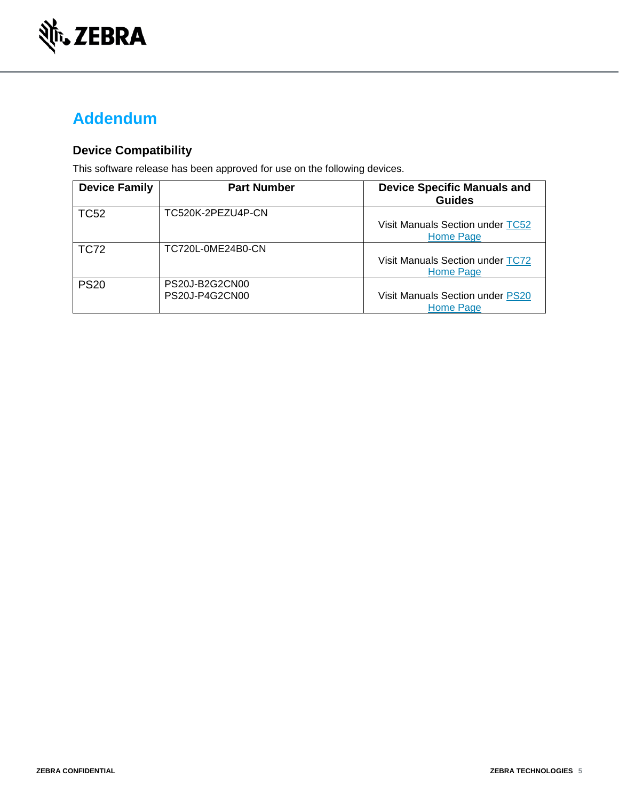

## **Addendum**

### **Device Compatibility**

This software release has been approved for use on the following devices.

| <b>Device Family</b> | <b>Part Number</b>               | <b>Device Specific Manuals and</b><br><b>Guides</b>  |
|----------------------|----------------------------------|------------------------------------------------------|
| <b>TC52</b>          | TC520K-2PEZU4P-CN                | Visit Manuals Section under TC52<br>Home Page        |
| <b>TC72</b>          | TC720L-0ME24B0-CN                | Visit Manuals Section under TC72<br><b>Home Page</b> |
| <b>PS20</b>          | PS20J-B2G2CN00<br>PS20J-P4G2CN00 | Visit Manuals Section under PS20<br>Home Page        |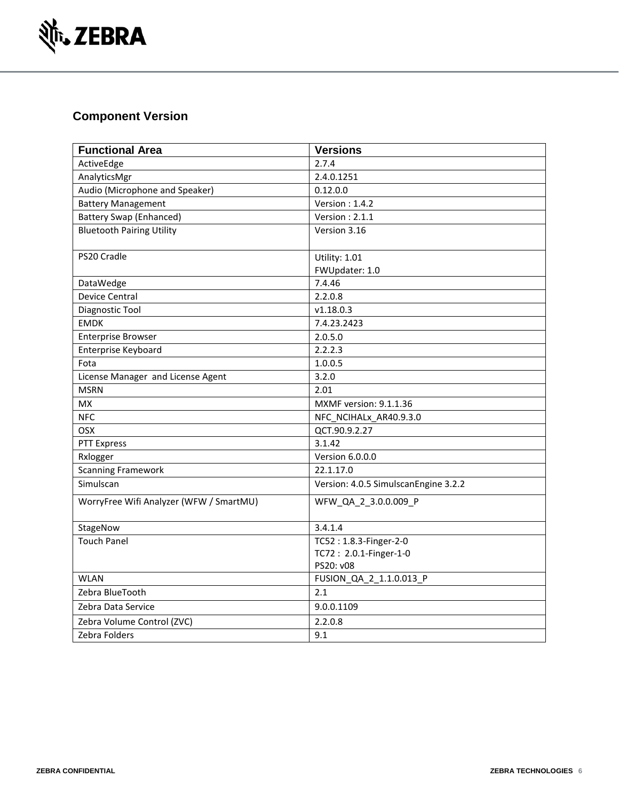

### **Component Version**

| <b>Functional Area</b>                  | <b>Versions</b>                      |
|-----------------------------------------|--------------------------------------|
| ActiveEdge                              | 2.7.4                                |
| AnalyticsMgr                            | 2.4.0.1251                           |
| Audio (Microphone and Speaker)          | 0.12.0.0                             |
| <b>Battery Management</b>               | Version: $1.4.2$                     |
| <b>Battery Swap (Enhanced)</b>          | Version: 2.1.1                       |
| <b>Bluetooth Pairing Utility</b>        | Version 3.16                         |
| PS20 Cradle                             | Utility: 1.01                        |
|                                         | FWUpdater: 1.0                       |
| DataWedge                               | 7.4.46                               |
| <b>Device Central</b>                   | 2.2.0.8                              |
| Diagnostic Tool                         | v1.18.0.3                            |
| <b>EMDK</b>                             | 7.4.23.2423                          |
| <b>Enterprise Browser</b>               | 2.0.5.0                              |
| Enterprise Keyboard                     | 2.2.2.3                              |
| Fota                                    | 1.0.0.5                              |
| License Manager and License Agent       | 3.2.0                                |
| <b>MSRN</b>                             | 2.01                                 |
| <b>MX</b>                               | MXMF version: 9.1.1.36               |
| <b>NFC</b>                              | NFC NCIHALx AR40.9.3.0               |
| <b>OSX</b>                              | QCT.90.9.2.27                        |
| <b>PTT Express</b>                      | 3.1.42                               |
| Rxlogger                                | Version 6.0.0.0                      |
| <b>Scanning Framework</b>               | 22.1.17.0                            |
| Simulscan                               | Version: 4.0.5 SimulscanEngine 3.2.2 |
| WorryFree Wifi Analyzer (WFW / SmartMU) | WFW QA 2 3.0.0.009 P                 |
| StageNow                                | 3.4.1.4                              |
| <b>Touch Panel</b>                      | TC52: 1.8.3-Finger-2-0               |
|                                         | TC72: 2.0.1-Finger-1-0               |
|                                         | PS20: v08                            |
| <b>WLAN</b>                             | FUSION_QA_2_1.1.0.013_P              |
| Zebra BlueTooth                         | 2.1                                  |
| Zebra Data Service                      | 9.0.0.1109                           |
| Zebra Volume Control (ZVC)              | 2.2.0.8                              |
| Zebra Folders                           | 9.1                                  |